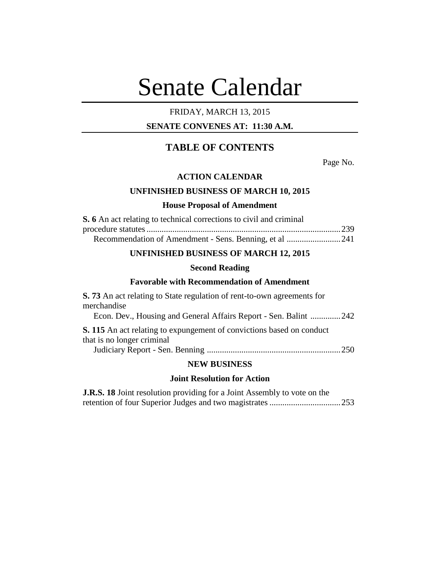# Senate Calendar

# FRIDAY, MARCH 13, 2015

# **SENATE CONVENES AT: 11:30 A.M.**

# **TABLE OF CONTENTS**

Page No.

## **ACTION CALENDAR**

## **UNFINISHED BUSINESS OF MARCH 10, 2015**

#### **House Proposal of Amendment**

| <b>S.</b> 6 An act relating to technical corrections to civil and criminal |  |
|----------------------------------------------------------------------------|--|
|                                                                            |  |
| Recommendation of Amendment - Sens. Benning, et al 241                     |  |

#### **UNFINISHED BUSINESS OF MARCH 12, 2015**

#### **Second Reading**

## **Favorable with Recommendation of Amendment**

| <b>S.</b> 73 An act relating to State regulation of rent-to-own agreements for |  |  |
|--------------------------------------------------------------------------------|--|--|
| merchandise                                                                    |  |  |
| Econ. Dev., Housing and General Affairs Report - Sen. Balint 242               |  |  |
| <b>S. 115</b> An act relating to expungement of convictions based on conduct   |  |  |
| that is no longer criminal                                                     |  |  |
|                                                                                |  |  |
|                                                                                |  |  |

# **NEW BUSINESS**

## **Joint Resolution for Action**

**J.R.S. 18** Joint resolution providing for a Joint Assembly to vote on the retention of four Superior Judges and two magistrates .................................253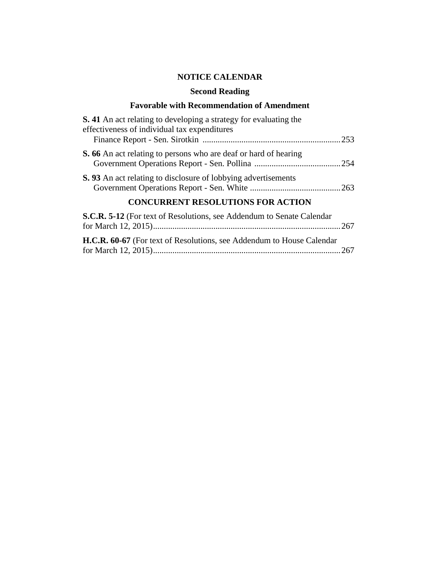# **NOTICE CALENDAR**

# **Second Reading**

# **Favorable with Recommendation of Amendment**

| <b>S. 41</b> An act relating to developing a strategy for evaluating the<br>effectiveness of individual tax expenditures |  |
|--------------------------------------------------------------------------------------------------------------------------|--|
| <b>S.</b> 66 An act relating to persons who are deaf or hard of hearing                                                  |  |
| <b>S.</b> 93 An act relating to disclosure of lobbying advertisements                                                    |  |
| <b>CONCURRENT RESOLUTIONS FOR ACTION</b>                                                                                 |  |
| <b>S.C.R. 5-12</b> (For text of Resolutions, see Addendum to Senate Calendar                                             |  |
| H.C.R. 60-67 (For text of Resolutions, see Addendum to House Calendar                                                    |  |

for March 12, 2015).......................................................................................267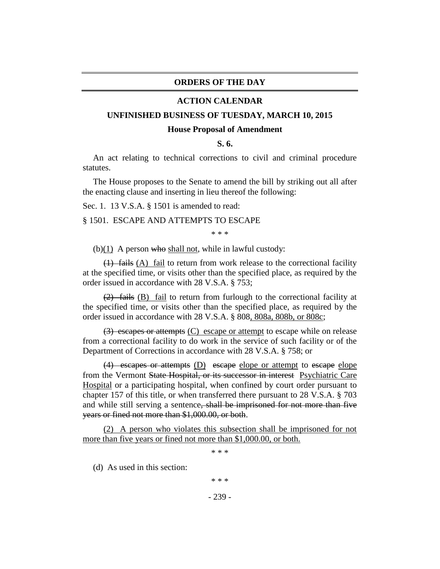#### **ORDERS OF THE DAY**

#### **ACTION CALENDAR**

#### **UNFINISHED BUSINESS OF TUESDAY, MARCH 10, 2015**

#### **House Proposal of Amendment**

**S. 6.**

An act relating to technical corrections to civil and criminal procedure statutes.

The House proposes to the Senate to amend the bill by striking out all after the enacting clause and inserting in lieu thereof the following:

Sec. 1. 13 V.S.A. § 1501 is amended to read:

#### § 1501. ESCAPE AND ATTEMPTS TO ESCAPE

\* \* \*

(b) $(1)$  A person who shall not, while in lawful custody:

 $(1)$  fails (A) fail to return from work release to the correctional facility at the specified time, or visits other than the specified place, as required by the order issued in accordance with 28 V.S.A. § 753;

(2) fails (B) fail to return from furlough to the correctional facility at the specified time, or visits other than the specified place, as required by the order issued in accordance with 28 V.S.A. § 808, 808a, 808b, or 808c;

(3) escapes or attempts (C) escape or attempt to escape while on release from a correctional facility to do work in the service of such facility or of the Department of Corrections in accordance with 28 V.S.A. § 758; or

(4) escapes or attempts (D) escape elope or attempt to escape elope from the Vermont State Hospital, or its successor in interest Psychiatric Care Hospital or a participating hospital, when confined by court order pursuant to chapter 157 of this title, or when transferred there pursuant to 28 V.S.A. § 703 and while still serving a sentence, shall be imprisoned for not more than five years or fined not more than \$1,000.00, or both.

(2) A person who violates this subsection shall be imprisoned for not more than five years or fined not more than \$1,000.00, or both.

\* \* \*

(d) As used in this section:

\* \* \*

- 239 -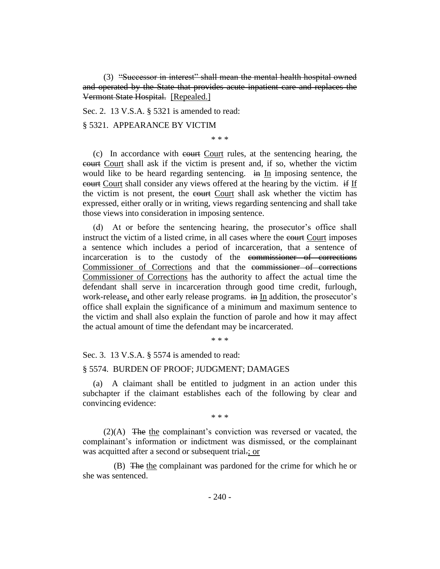(3) "Successor in interest" shall mean the mental health hospital owned and operated by the State that provides acute inpatient care and replaces the Vermont State Hospital. [Repealed.]

Sec. 2. 13 V.S.A. § 5321 is amended to read:

#### § 5321. APPEARANCE BY VICTIM

\* \* \*

(c) In accordance with court Court rules, at the sentencing hearing, the court Court shall ask if the victim is present and, if so, whether the victim would like to be heard regarding sentencing. in In imposing sentence, the court Court shall consider any views offered at the hearing by the victim. if If the victim is not present, the court Court shall ask whether the victim has expressed, either orally or in writing, views regarding sentencing and shall take those views into consideration in imposing sentence.

(d) At or before the sentencing hearing, the prosecutor's office shall instruct the victim of a listed crime, in all cases where the court imposes a sentence which includes a period of incarceration, that a sentence of incarceration is to the custody of the commissioner of corrections Commissioner of Corrections and that the commissioner of corrections Commissioner of Corrections has the authority to affect the actual time the defendant shall serve in incarceration through good time credit, furlough, work-release, and other early release programs. in In addition, the prosecutor's office shall explain the significance of a minimum and maximum sentence to the victim and shall also explain the function of parole and how it may affect the actual amount of time the defendant may be incarcerated.

\* \* \*

Sec. 3. 13 V.S.A. § 5574 is amended to read:

#### § 5574. BURDEN OF PROOF; JUDGMENT; DAMAGES

(a) A claimant shall be entitled to judgment in an action under this subchapter if the claimant establishes each of the following by clear and convincing evidence:

\* \* \*

(2)(A) The the complainant's conviction was reversed or vacated, the complainant's information or indictment was dismissed, or the complainant was acquitted after a second or subsequent trial.; or

(B) The the complainant was pardoned for the crime for which he or she was sentenced.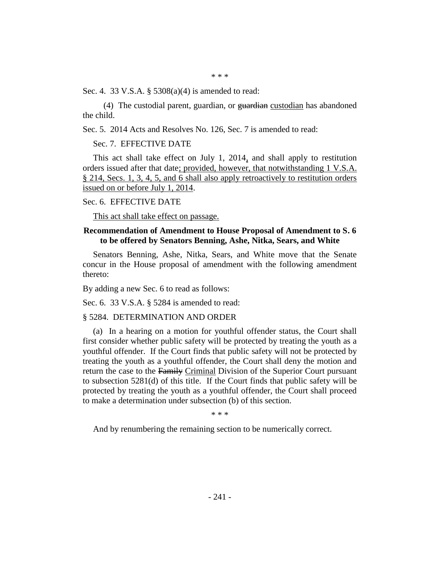\* \* \*

Sec. 4. 33 V.S.A. § 5308(a)(4) is amended to read:

(4) The custodial parent, guardian, or guardian custodian has abandoned the child.

Sec. 5. 2014 Acts and Resolves No. 126, Sec. 7 is amended to read:

#### Sec. 7. EFFECTIVE DATE

This act shall take effect on July 1, 2014, and shall apply to restitution orders issued after that date; provided, however, that notwithstanding 1 V.S.A. § 214, Secs. 1, 3, 4, 5, and 6 shall also apply retroactively to restitution orders issued on or before July 1, 2014.

#### Sec. 6. EFFECTIVE DATE

This act shall take effect on passage.

# **Recommendation of Amendment to House Proposal of Amendment to S. 6 to be offered by Senators Benning, Ashe, Nitka, Sears, and White**

Senators Benning, Ashe, Nitka, Sears, and White move that the Senate concur in the House proposal of amendment with the following amendment thereto:

By adding a new Sec. 6 to read as follows:

Sec. 6. 33 V.S.A. § 5284 is amended to read:

#### § 5284. DETERMINATION AND ORDER

(a) In a hearing on a motion for youthful offender status, the Court shall first consider whether public safety will be protected by treating the youth as a youthful offender. If the Court finds that public safety will not be protected by treating the youth as a youthful offender, the Court shall deny the motion and return the case to the Family Criminal Division of the Superior Court pursuant to subsection 5281(d) of this title. If the Court finds that public safety will be protected by treating the youth as a youthful offender, the Court shall proceed to make a determination under subsection (b) of this section.

\* \* \*

And by renumbering the remaining section to be numerically correct.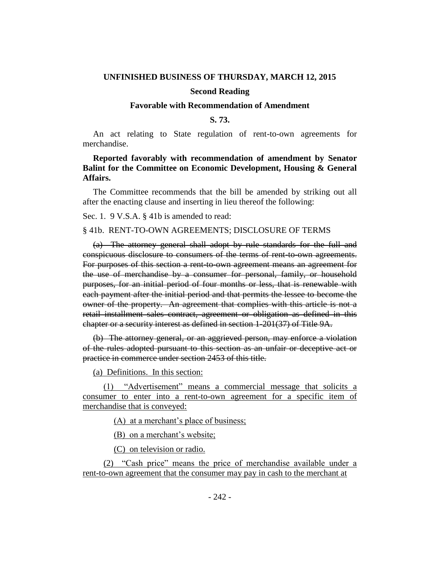#### **UNFINISHED BUSINESS OF THURSDAY, MARCH 12, 2015**

#### **Second Reading**

#### **Favorable with Recommendation of Amendment**

#### **S. 73.**

An act relating to State regulation of rent-to-own agreements for merchandise.

# **Reported favorably with recommendation of amendment by Senator Balint for the Committee on Economic Development, Housing & General Affairs.**

The Committee recommends that the bill be amended by striking out all after the enacting clause and inserting in lieu thereof the following:

Sec. 1. 9 V.S.A. § 41b is amended to read:

#### § 41b. RENT-TO-OWN AGREEMENTS; DISCLOSURE OF TERMS

(a) The attorney general shall adopt by rule standards for the full and conspicuous disclosure to consumers of the terms of rent-to-own agreements. For purposes of this section a rent-to-own agreement means an agreement for the use of merchandise by a consumer for personal, family, or household purposes, for an initial period of four months or less, that is renewable with each payment after the initial period and that permits the lessee to become the owner of the property. An agreement that complies with this article is not a retail installment sales contract, agreement or obligation as defined in this chapter or a security interest as defined in section 1-201(37) of Title 9A.

(b) The attorney general, or an aggrieved person, may enforce a violation of the rules adopted pursuant to this section as an unfair or deceptive act or practice in commerce under section 2453 of this title.

(a) Definitions. In this section:

(1) "Advertisement" means a commercial message that solicits a consumer to enter into a rent-to-own agreement for a specific item of merchandise that is conveyed:

(A) at a merchant's place of business;

(B) on a merchant's website;

(C) on television or radio.

(2) "Cash price" means the price of merchandise available under a rent-to-own agreement that the consumer may pay in cash to the merchant at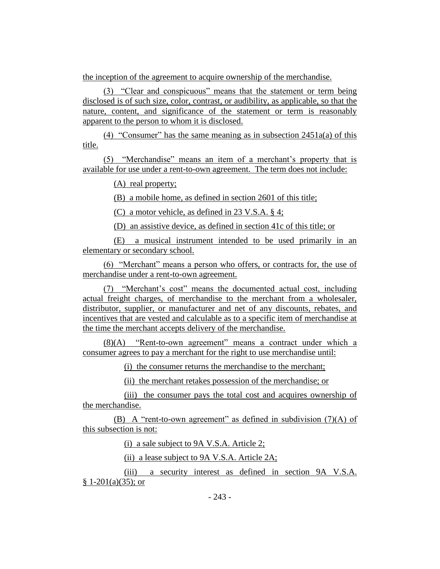the inception of the agreement to acquire ownership of the merchandise.

(3) "Clear and conspicuous" means that the statement or term being disclosed is of such size, color, contrast, or audibility, as applicable, so that the nature, content, and significance of the statement or term is reasonably apparent to the person to whom it is disclosed.

(4) "Consumer" has the same meaning as in subsection  $2451a(a)$  of this title.

(5) "Merchandise" means an item of a merchant's property that is available for use under a rent-to-own agreement. The term does not include:

(A) real property;

(B) a mobile home, as defined in section 2601 of this title;

(C) a motor vehicle, as defined in 23 V.S.A. § 4;

(D) an assistive device, as defined in section 41c of this title; or

(E) a musical instrument intended to be used primarily in an elementary or secondary school.

(6) "Merchant" means a person who offers, or contracts for, the use of merchandise under a rent-to-own agreement.

(7) "Merchant's cost" means the documented actual cost, including actual freight charges, of merchandise to the merchant from a wholesaler, distributor, supplier, or manufacturer and net of any discounts, rebates, and incentives that are vested and calculable as to a specific item of merchandise at the time the merchant accepts delivery of the merchandise.

(8)(A) "Rent-to-own agreement" means a contract under which a consumer agrees to pay a merchant for the right to use merchandise until:

(i) the consumer returns the merchandise to the merchant;

(ii) the merchant retakes possession of the merchandise; or

(iii) the consumer pays the total cost and acquires ownership of the merchandise.

(B) A "rent-to-own agreement" as defined in subdivision (7)(A) of this subsection is not:

(i) a sale subject to 9A V.S.A. Article 2;

(ii) a lease subject to 9A V.S.A. Article 2A;

(iii) a security interest as defined in section 9A V.S.A.  $§ 1-201(a)(35);$  or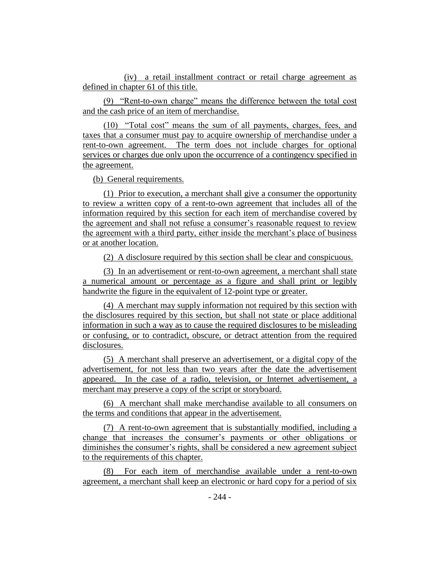(iv) a retail installment contract or retail charge agreement as defined in chapter 61 of this title.

(9) "Rent-to-own charge" means the difference between the total cost and the cash price of an item of merchandise.

(10) "Total cost" means the sum of all payments, charges, fees, and taxes that a consumer must pay to acquire ownership of merchandise under a rent-to-own agreement. The term does not include charges for optional services or charges due only upon the occurrence of a contingency specified in the agreement.

(b) General requirements.

(1) Prior to execution, a merchant shall give a consumer the opportunity to review a written copy of a rent-to-own agreement that includes all of the information required by this section for each item of merchandise covered by the agreement and shall not refuse a consumer's reasonable request to review the agreement with a third party, either inside the merchant's place of business or at another location.

(2) A disclosure required by this section shall be clear and conspicuous.

(3) In an advertisement or rent-to-own agreement, a merchant shall state a numerical amount or percentage as a figure and shall print or legibly handwrite the figure in the equivalent of 12-point type or greater.

(4) A merchant may supply information not required by this section with the disclosures required by this section, but shall not state or place additional information in such a way as to cause the required disclosures to be misleading or confusing, or to contradict, obscure, or detract attention from the required disclosures.

(5) A merchant shall preserve an advertisement, or a digital copy of the advertisement, for not less than two years after the date the advertisement appeared. In the case of a radio, television, or Internet advertisement, a merchant may preserve a copy of the script or storyboard.

(6) A merchant shall make merchandise available to all consumers on the terms and conditions that appear in the advertisement.

(7) A rent-to-own agreement that is substantially modified, including a change that increases the consumer's payments or other obligations or diminishes the consumer's rights, shall be considered a new agreement subject to the requirements of this chapter.

(8) For each item of merchandise available under a rent-to-own agreement, a merchant shall keep an electronic or hard copy for a period of six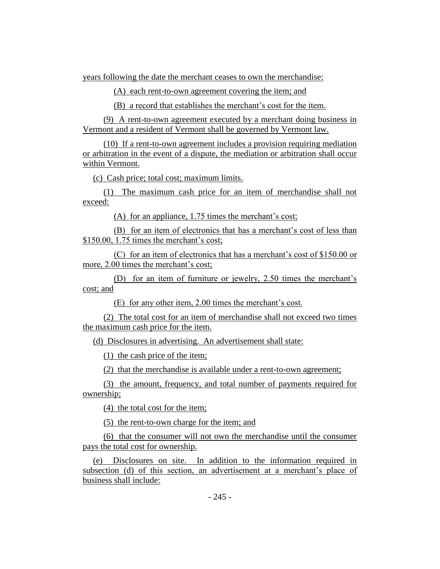years following the date the merchant ceases to own the merchandise:

(A) each rent-to-own agreement covering the item; and

(B) a record that establishes the merchant's cost for the item.

(9) A rent-to-own agreement executed by a merchant doing business in Vermont and a resident of Vermont shall be governed by Vermont law.

(10) If a rent-to-own agreement includes a provision requiring mediation or arbitration in the event of a dispute, the mediation or arbitration shall occur within Vermont.

(c) Cash price; total cost; maximum limits.

(1) The maximum cash price for an item of merchandise shall not exceed:

(A) for an appliance, 1.75 times the merchant's cost;

(B) for an item of electronics that has a merchant's cost of less than \$150.00, 1.75 times the merchant's cost;

(C) for an item of electronics that has a merchant's cost of \$150.00 or more, 2.00 times the merchant's cost;

(D) for an item of furniture or jewelry, 2.50 times the merchant's cost; and

(E) for any other item, 2.00 times the merchant's cost.

(2) The total cost for an item of merchandise shall not exceed two times the maximum cash price for the item.

(d) Disclosures in advertising. An advertisement shall state:

(1) the cash price of the item;

(2) that the merchandise is available under a rent-to-own agreement;

(3) the amount, frequency, and total number of payments required for ownership;

(4) the total cost for the item;

(5) the rent-to-own charge for the item; and

(6) that the consumer will not own the merchandise until the consumer pays the total cost for ownership.

(e) Disclosures on site. In addition to the information required in subsection (d) of this section, an advertisement at a merchant's place of business shall include: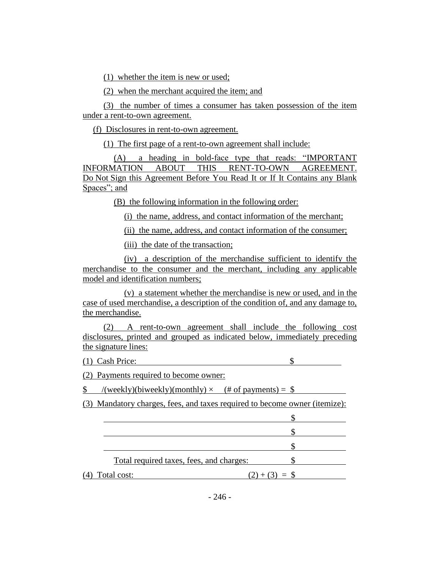(1) whether the item is new or used;

(2) when the merchant acquired the item; and

(3) the number of times a consumer has taken possession of the item under a rent-to-own agreement.

(f) Disclosures in rent-to-own agreement.

(1) The first page of a rent-to-own agreement shall include:

(A) a heading in bold-face type that reads: "IMPORTANT INFORMATION ABOUT THIS RENT-TO-OWN AGREEMENT. Do Not Sign this Agreement Before You Read It or If It Contains any Blank Spaces"; and

(B) the following information in the following order:

(i) the name, address, and contact information of the merchant;

(ii) the name, address, and contact information of the consumer;

(iii) the date of the transaction;

(iv) a description of the merchandise sufficient to identify the merchandise to the consumer and the merchant, including any applicable model and identification numbers;

(v) a statement whether the merchandise is new or used, and in the case of used merchandise, a description of the condition of, and any damage to, the merchandise.

(2) A rent-to-own agreement shall include the following cost disclosures, printed and grouped as indicated below, immediately preceding the signature lines:

(1)Cash Price: \$

(2) Payments required to become owner:

\$ /(weekly)(biweekly)(monthly) × (# of payments) = \$

(3) Mandatory charges, fees, and taxes required to become owner (itemize):

| Total required taxes, fees, and charges: |       |
|------------------------------------------|-------|
| Total cost:<br>(4)                       | $=$ S |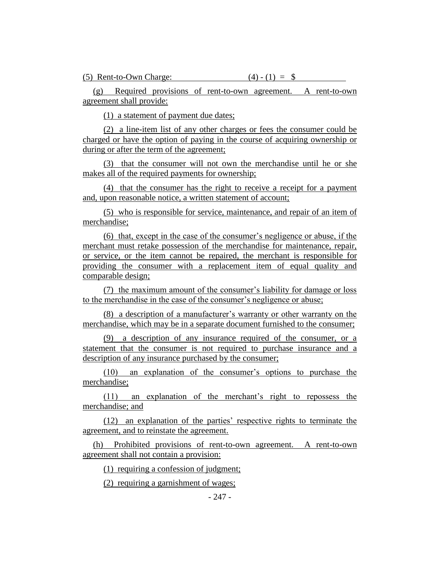(g) Required provisions of rent-to-own agreement. A rent-to-own agreement shall provide:

(1) a statement of payment due dates;

(2) a line-item list of any other charges or fees the consumer could be charged or have the option of paying in the course of acquiring ownership or during or after the term of the agreement;

(3) that the consumer will not own the merchandise until he or she makes all of the required payments for ownership;

(4) that the consumer has the right to receive a receipt for a payment and, upon reasonable notice, a written statement of account;

(5) who is responsible for service, maintenance, and repair of an item of merchandise;

(6) that, except in the case of the consumer's negligence or abuse, if the merchant must retake possession of the merchandise for maintenance, repair, or service, or the item cannot be repaired, the merchant is responsible for providing the consumer with a replacement item of equal quality and comparable design;

(7) the maximum amount of the consumer's liability for damage or loss to the merchandise in the case of the consumer's negligence or abuse;

(8) a description of a manufacturer's warranty or other warranty on the merchandise, which may be in a separate document furnished to the consumer;

(9) a description of any insurance required of the consumer, or a statement that the consumer is not required to purchase insurance and a description of any insurance purchased by the consumer;

(10) an explanation of the consumer's options to purchase the merchandise;

(11) an explanation of the merchant's right to repossess the merchandise; and

(12) an explanation of the parties' respective rights to terminate the agreement, and to reinstate the agreement.

(h) Prohibited provisions of rent-to-own agreement. A rent-to-own agreement shall not contain a provision:

(1) requiring a confession of judgment;

(2) requiring a garnishment of wages;

- 247 -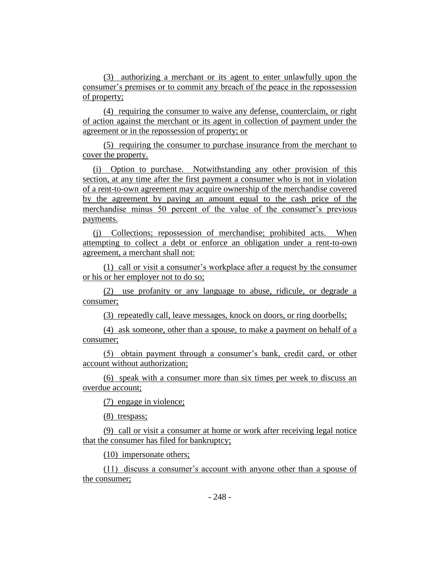(3) authorizing a merchant or its agent to enter unlawfully upon the consumer's premises or to commit any breach of the peace in the repossession of property;

(4) requiring the consumer to waive any defense, counterclaim, or right of action against the merchant or its agent in collection of payment under the agreement or in the repossession of property; or

(5) requiring the consumer to purchase insurance from the merchant to cover the property.

(i) Option to purchase. Notwithstanding any other provision of this section, at any time after the first payment a consumer who is not in violation of a rent-to-own agreement may acquire ownership of the merchandise covered by the agreement by paying an amount equal to the cash price of the merchandise minus 50 percent of the value of the consumer's previous payments.

(j) Collections; repossession of merchandise; prohibited acts. When attempting to collect a debt or enforce an obligation under a rent-to-own agreement, a merchant shall not:

(1) call or visit a consumer's workplace after a request by the consumer or his or her employer not to do so;

(2) use profanity or any language to abuse, ridicule, or degrade a consumer;

(3) repeatedly call, leave messages, knock on doors, or ring doorbells;

(4) ask someone, other than a spouse, to make a payment on behalf of a consumer;

(5) obtain payment through a consumer's bank, credit card, or other account without authorization;

(6) speak with a consumer more than six times per week to discuss an overdue account;

(7) engage in violence;

(8) trespass;

(9) call or visit a consumer at home or work after receiving legal notice that the consumer has filed for bankruptcy;

(10) impersonate others;

(11) discuss a consumer's account with anyone other than a spouse of the consumer;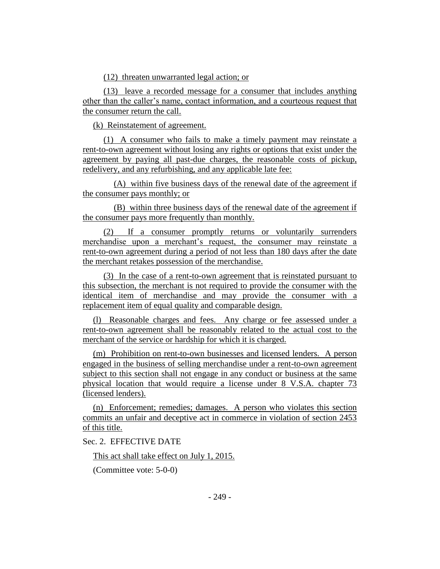(12) threaten unwarranted legal action; or

(13) leave a recorded message for a consumer that includes anything other than the caller's name, contact information, and a courteous request that the consumer return the call.

(k) Reinstatement of agreement.

(1) A consumer who fails to make a timely payment may reinstate a rent-to-own agreement without losing any rights or options that exist under the agreement by paying all past-due charges, the reasonable costs of pickup, redelivery, and any refurbishing, and any applicable late fee:

(A) within five business days of the renewal date of the agreement if the consumer pays monthly; or

(B) within three business days of the renewal date of the agreement if the consumer pays more frequently than monthly.

(2) If a consumer promptly returns or voluntarily surrenders merchandise upon a merchant's request, the consumer may reinstate a rent-to-own agreement during a period of not less than 180 days after the date the merchant retakes possession of the merchandise.

(3) In the case of a rent-to-own agreement that is reinstated pursuant to this subsection, the merchant is not required to provide the consumer with the identical item of merchandise and may provide the consumer with a replacement item of equal quality and comparable design.

(l) Reasonable charges and fees. Any charge or fee assessed under a rent-to-own agreement shall be reasonably related to the actual cost to the merchant of the service or hardship for which it is charged.

(m) Prohibition on rent-to-own businesses and licensed lenders. A person engaged in the business of selling merchandise under a rent-to-own agreement subject to this section shall not engage in any conduct or business at the same physical location that would require a license under 8 V.S.A. chapter 73 (licensed lenders).

(n) Enforcement; remedies; damages. A person who violates this section commits an unfair and deceptive act in commerce in violation of section 2453 of this title.

Sec. 2. EFFECTIVE DATE

This act shall take effect on July 1, 2015.

(Committee vote: 5-0-0)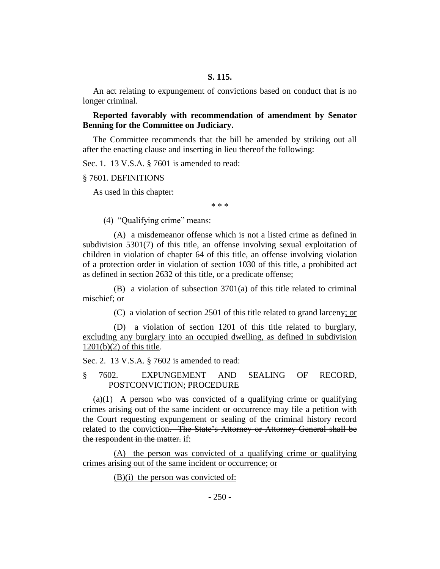An act relating to expungement of convictions based on conduct that is no longer criminal.

**Reported favorably with recommendation of amendment by Senator Benning for the Committee on Judiciary.**

The Committee recommends that the bill be amended by striking out all after the enacting clause and inserting in lieu thereof the following:

Sec. 1. 13 V.S.A. § 7601 is amended to read:

§ 7601. DEFINITIONS

As used in this chapter:

\* \* \*

(4) "Qualifying crime" means:

(A) a misdemeanor offense which is not a listed crime as defined in subdivision 5301(7) of this title, an offense involving sexual exploitation of children in violation of chapter 64 of this title, an offense involving violation of a protection order in violation of section 1030 of this title, a prohibited act as defined in section 2632 of this title, or a predicate offense;

(B) a violation of subsection 3701(a) of this title related to criminal mischief; or

(C) a violation of section 2501 of this title related to grand larceny; or

(D) a violation of section 1201 of this title related to burglary, excluding any burglary into an occupied dwelling, as defined in subdivision 1201(b)(2) of this title.

Sec. 2. 13 V.S.A. § 7602 is amended to read:

§ 7602. EXPUNGEMENT AND SEALING OF RECORD, POSTCONVICTION; PROCEDURE

 $(a)(1)$  A person who was convicted of a qualifying crime or qualifying crimes arising out of the same incident or occurrence may file a petition with the Court requesting expungement or sealing of the criminal history record related to the conviction. The State's Attorney or Attorney General shall be the respondent in the matter. if:

(A) the person was convicted of a qualifying crime or qualifying crimes arising out of the same incident or occurrence; or

 $(B)(i)$  the person was convicted of: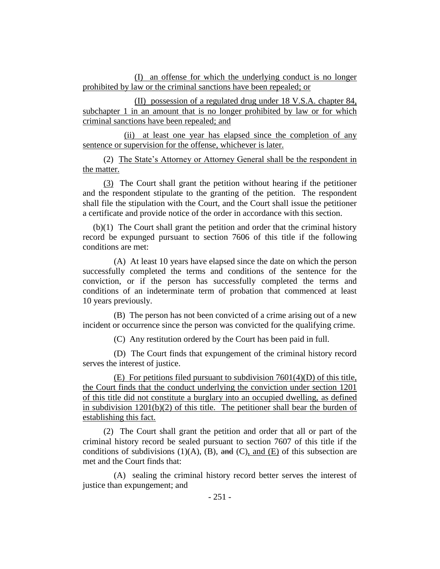(I) an offense for which the underlying conduct is no longer prohibited by law or the criminal sanctions have been repealed; or

(II) possession of a regulated drug under 18 V.S.A. chapter 84, subchapter 1 in an amount that is no longer prohibited by law or for which criminal sanctions have been repealed; and

(ii) at least one year has elapsed since the completion of any sentence or supervision for the offense, whichever is later.

(2) The State's Attorney or Attorney General shall be the respondent in the matter.

(3) The Court shall grant the petition without hearing if the petitioner and the respondent stipulate to the granting of the petition. The respondent shall file the stipulation with the Court, and the Court shall issue the petitioner a certificate and provide notice of the order in accordance with this section.

(b)(1) The Court shall grant the petition and order that the criminal history record be expunged pursuant to section 7606 of this title if the following conditions are met:

(A) At least 10 years have elapsed since the date on which the person successfully completed the terms and conditions of the sentence for the conviction, or if the person has successfully completed the terms and conditions of an indeterminate term of probation that commenced at least 10 years previously.

(B) The person has not been convicted of a crime arising out of a new incident or occurrence since the person was convicted for the qualifying crime.

(C) Any restitution ordered by the Court has been paid in full.

(D) The Court finds that expungement of the criminal history record serves the interest of justice.

(E) For petitions filed pursuant to subdivision  $7601(4)$ (D) of this title, the Court finds that the conduct underlying the conviction under section 1201 of this title did not constitute a burglary into an occupied dwelling, as defined in subdivision  $1201(b)(2)$  of this title. The petitioner shall bear the burden of establishing this fact.

(2) The Court shall grant the petition and order that all or part of the criminal history record be sealed pursuant to section 7607 of this title if the conditions of subdivisions  $(1)(A)$ ,  $(B)$ , and  $(C)$ , and  $(E)$  of this subsection are met and the Court finds that:

(A) sealing the criminal history record better serves the interest of justice than expungement; and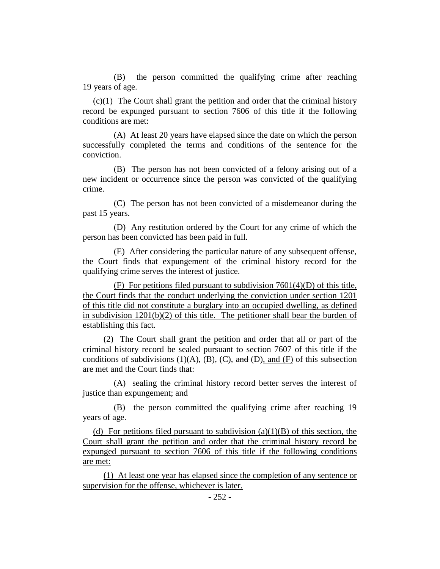(B) the person committed the qualifying crime after reaching 19 years of age.

(c)(1) The Court shall grant the petition and order that the criminal history record be expunged pursuant to section 7606 of this title if the following conditions are met:

(A) At least 20 years have elapsed since the date on which the person successfully completed the terms and conditions of the sentence for the conviction.

(B) The person has not been convicted of a felony arising out of a new incident or occurrence since the person was convicted of the qualifying crime.

(C) The person has not been convicted of a misdemeanor during the past 15 years.

(D) Any restitution ordered by the Court for any crime of which the person has been convicted has been paid in full.

(E) After considering the particular nature of any subsequent offense, the Court finds that expungement of the criminal history record for the qualifying crime serves the interest of justice.

(F) For petitions filed pursuant to subdivision 7601(4)(D) of this title, the Court finds that the conduct underlying the conviction under section 1201 of this title did not constitute a burglary into an occupied dwelling, as defined in subdivision  $1201(b)(2)$  of this title. The petitioner shall bear the burden of establishing this fact.

(2) The Court shall grant the petition and order that all or part of the criminal history record be sealed pursuant to section 7607 of this title if the conditions of subdivisions (1)(A), (B), (C), and (D), and (F) of this subsection are met and the Court finds that:

(A) sealing the criminal history record better serves the interest of justice than expungement; and

(B) the person committed the qualifying crime after reaching 19 years of age.

(d) For petitions filed pursuant to subdivision  $(a)(1)(B)$  of this section, the Court shall grant the petition and order that the criminal history record be expunged pursuant to section 7606 of this title if the following conditions are met:

(1) At least one year has elapsed since the completion of any sentence or supervision for the offense, whichever is later.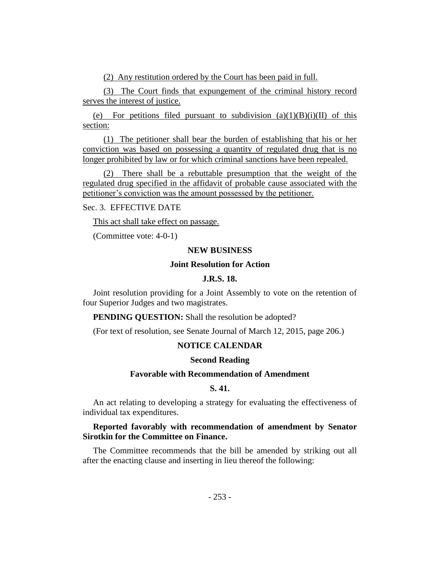(2) Any restitution ordered by the Court has been paid in full.

(3) The Court finds that expungement of the criminal history record serves the interest of justice.

(e) For petitions filed pursuant to subdivision  $(a)(1)(B)(i)(II)$  of this section:

(1) The petitioner shall bear the burden of establishing that his or her conviction was based on possessing a quantity of regulated drug that is no longer prohibited by law or for which criminal sanctions have been repealed.

(2) There shall be a rebuttable presumption that the weight of the regulated drug specified in the affidavit of probable cause associated with the petitioner's conviction was the amount possessed by the petitioner.

Sec. 3. EFFECTIVE DATE

This act shall take effect on passage.

(Committee vote: 4-0-1)

#### **NEW BUSINESS**

## **Joint Resolution for Action**

#### **J.R.S. 18.**

Joint resolution providing for a Joint Assembly to vote on the retention of four Superior Judges and two magistrates.

**PENDING QUESTION:** Shall the resolution be adopted?

(For text of resolution, see Senate Journal of March 12, 2015, page 206.)

#### **NOTICE CALENDAR**

#### **Second Reading**

#### **Favorable with Recommendation of Amendment**

#### **S. 41.**

An act relating to developing a strategy for evaluating the effectiveness of individual tax expenditures.

## **Reported favorably with recommendation of amendment by Senator Sirotkin for the Committee on Finance.**

The Committee recommends that the bill be amended by striking out all after the enacting clause and inserting in lieu thereof the following: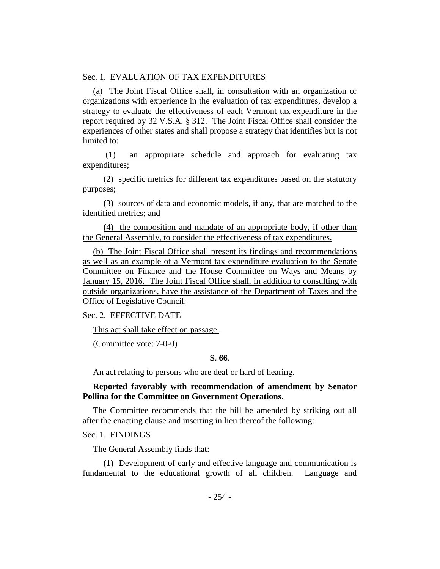## Sec. 1. EVALUATION OF TAX EXPENDITURES

(a) The Joint Fiscal Office shall, in consultation with an organization or organizations with experience in the evaluation of tax expenditures, develop a strategy to evaluate the effectiveness of each Vermont tax expenditure in the report required by 32 V.S.A. § 312. The Joint Fiscal Office shall consider the experiences of other states and shall propose a strategy that identifies but is not limited to:

(1) an appropriate schedule and approach for evaluating tax expenditures;

(2) specific metrics for different tax expenditures based on the statutory purposes;

(3) sources of data and economic models, if any, that are matched to the identified metrics; and

(4) the composition and mandate of an appropriate body, if other than the General Assembly, to consider the effectiveness of tax expenditures.

(b) The Joint Fiscal Office shall present its findings and recommendations as well as an example of a Vermont tax expenditure evaluation to the Senate Committee on Finance and the House Committee on Ways and Means by January 15, 2016. The Joint Fiscal Office shall, in addition to consulting with outside organizations, have the assistance of the Department of Taxes and the Office of Legislative Council.

Sec. 2. EFFECTIVE DATE

This act shall take effect on passage.

(Committee vote: 7-0-0)

#### **S. 66.**

An act relating to persons who are deaf or hard of hearing.

# **Reported favorably with recommendation of amendment by Senator Pollina for the Committee on Government Operations.**

The Committee recommends that the bill be amended by striking out all after the enacting clause and inserting in lieu thereof the following:

Sec. 1. FINDINGS

The General Assembly finds that:

(1) Development of early and effective language and communication is fundamental to the educational growth of all children. Language and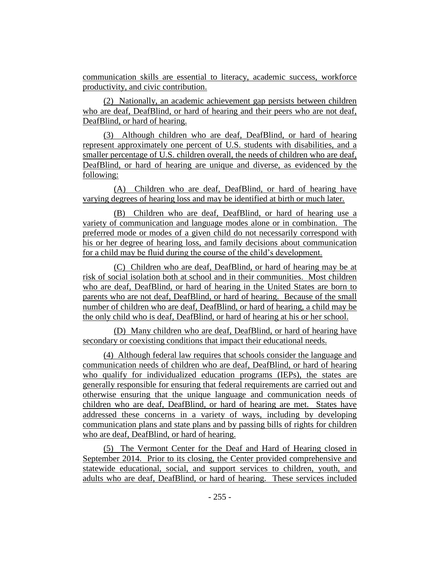communication skills are essential to literacy, academic success, workforce productivity, and civic contribution.

(2) Nationally, an academic achievement gap persists between children who are deaf, DeafBlind, or hard of hearing and their peers who are not deaf, DeafBlind, or hard of hearing.

(3) Although children who are deaf, DeafBlind, or hard of hearing represent approximately one percent of U.S. students with disabilities, and a smaller percentage of U.S. children overall, the needs of children who are deaf, DeafBlind, or hard of hearing are unique and diverse, as evidenced by the following:

(A) Children who are deaf, DeafBlind, or hard of hearing have varying degrees of hearing loss and may be identified at birth or much later.

(B) Children who are deaf, DeafBlind, or hard of hearing use a variety of communication and language modes alone or in combination. The preferred mode or modes of a given child do not necessarily correspond with his or her degree of hearing loss, and family decisions about communication for a child may be fluid during the course of the child's development.

(C) Children who are deaf, DeafBlind, or hard of hearing may be at risk of social isolation both at school and in their communities. Most children who are deaf, DeafBlind, or hard of hearing in the United States are born to parents who are not deaf, DeafBlind, or hard of hearing. Because of the small number of children who are deaf, DeafBlind, or hard of hearing, a child may be the only child who is deaf, DeafBlind, or hard of hearing at his or her school.

(D) Many children who are deaf, DeafBlind, or hard of hearing have secondary or coexisting conditions that impact their educational needs.

(4) Although federal law requires that schools consider the language and communication needs of children who are deaf, DeafBlind, or hard of hearing who qualify for individualized education programs (IEPs), the states are generally responsible for ensuring that federal requirements are carried out and otherwise ensuring that the unique language and communication needs of children who are deaf, DeafBlind, or hard of hearing are met. States have addressed these concerns in a variety of ways, including by developing communication plans and state plans and by passing bills of rights for children who are deaf, DeafBlind, or hard of hearing.

(5) The Vermont Center for the Deaf and Hard of Hearing closed in September 2014. Prior to its closing, the Center provided comprehensive and statewide educational, social, and support services to children, youth, and adults who are deaf, DeafBlind, or hard of hearing. These services included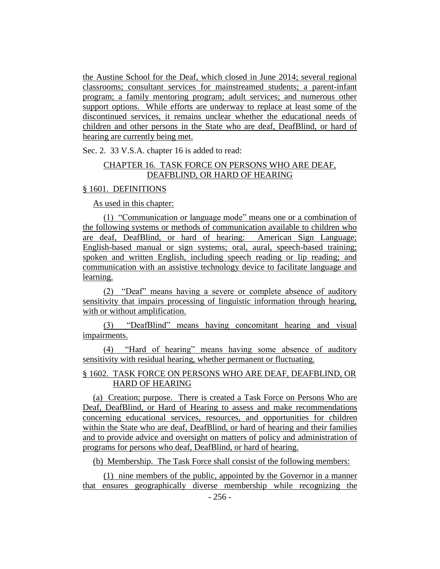the Austine School for the Deaf, which closed in June 2014; several regional classrooms; consultant services for mainstreamed students; a parent-infant program; a family mentoring program; adult services; and numerous other support options. While efforts are underway to replace at least some of the discontinued services, it remains unclear whether the educational needs of children and other persons in the State who are deaf, DeafBlind, or hard of hearing are currently being met.

Sec. 2. 33 V.S.A. chapter 16 is added to read:

# CHAPTER 16. TASK FORCE ON PERSONS WHO ARE DEAF, DEAFBLIND, OR HARD OF HEARING

# § 1601. DEFINITIONS

As used in this chapter:

(1) "Communication or language mode" means one or a combination of the following systems or methods of communication available to children who are deaf, DeafBlind, or hard of hearing: American Sign Language; English-based manual or sign systems; oral, aural, speech-based training; spoken and written English, including speech reading or lip reading; and communication with an assistive technology device to facilitate language and learning.

(2) "Deaf" means having a severe or complete absence of auditory sensitivity that impairs processing of linguistic information through hearing, with or without amplification.

(3) "DeafBlind" means having concomitant hearing and visual impairments.

(4) "Hard of hearing" means having some absence of auditory sensitivity with residual hearing, whether permanent or fluctuating.

# § 1602. TASK FORCE ON PERSONS WHO ARE DEAF, DEAFBLIND, OR HARD OF HEARING

(a) Creation; purpose. There is created a Task Force on Persons Who are Deaf, DeafBlind, or Hard of Hearing to assess and make recommendations concerning educational services, resources, and opportunities for children within the State who are deaf, DeafBlind, or hard of hearing and their families and to provide advice and oversight on matters of policy and administration of programs for persons who deaf, DeafBlind, or hard of hearing.

(b) Membership. The Task Force shall consist of the following members:

(1) nine members of the public, appointed by the Governor in a manner that ensures geographically diverse membership while recognizing the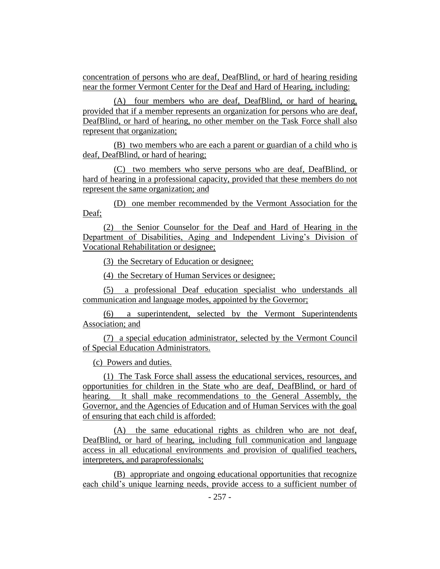concentration of persons who are deaf, DeafBlind, or hard of hearing residing near the former Vermont Center for the Deaf and Hard of Hearing, including:

(A) four members who are deaf, DeafBlind, or hard of hearing, provided that if a member represents an organization for persons who are deaf, DeafBlind, or hard of hearing, no other member on the Task Force shall also represent that organization;

(B) two members who are each a parent or guardian of a child who is deaf, DeafBlind, or hard of hearing;

(C) two members who serve persons who are deaf, DeafBlind, or hard of hearing in a professional capacity, provided that these members do not represent the same organization; and

(D) one member recommended by the Vermont Association for the Deaf;

(2) the Senior Counselor for the Deaf and Hard of Hearing in the Department of Disabilities, Aging and Independent Living's Division of Vocational Rehabilitation or designee;

(3) the Secretary of Education or designee;

(4) the Secretary of Human Services or designee;

(5) a professional Deaf education specialist who understands all communication and language modes, appointed by the Governor;

(6) a superintendent, selected by the Vermont Superintendents Association; and

(7) a special education administrator, selected by the Vermont Council of Special Education Administrators.

(c) Powers and duties.

(1) The Task Force shall assess the educational services, resources, and opportunities for children in the State who are deaf, DeafBlind, or hard of hearing. It shall make recommendations to the General Assembly, the Governor, and the Agencies of Education and of Human Services with the goal of ensuring that each child is afforded:

(A) the same educational rights as children who are not deaf, DeafBlind, or hard of hearing, including full communication and language access in all educational environments and provision of qualified teachers, interpreters, and paraprofessionals;

(B) appropriate and ongoing educational opportunities that recognize each child's unique learning needs, provide access to a sufficient number of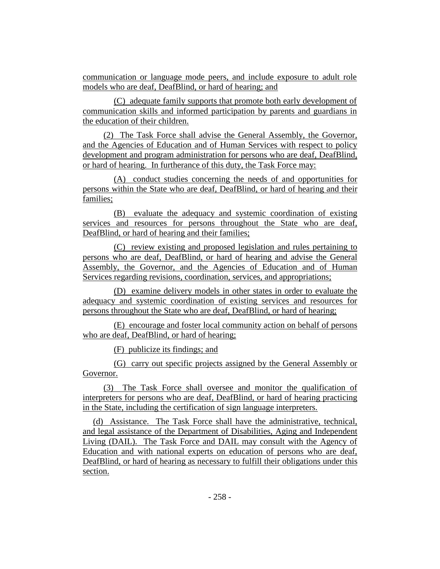communication or language mode peers, and include exposure to adult role models who are deaf, DeafBlind, or hard of hearing; and

(C) adequate family supports that promote both early development of communication skills and informed participation by parents and guardians in the education of their children.

(2) The Task Force shall advise the General Assembly, the Governor, and the Agencies of Education and of Human Services with respect to policy development and program administration for persons who are deaf, DeafBlind, or hard of hearing. In furtherance of this duty, the Task Force may:

(A) conduct studies concerning the needs of and opportunities for persons within the State who are deaf, DeafBlind, or hard of hearing and their families;

(B) evaluate the adequacy and systemic coordination of existing services and resources for persons throughout the State who are deaf, DeafBlind, or hard of hearing and their families;

(C) review existing and proposed legislation and rules pertaining to persons who are deaf, DeafBlind, or hard of hearing and advise the General Assembly, the Governor, and the Agencies of Education and of Human Services regarding revisions, coordination, services, and appropriations;

(D) examine delivery models in other states in order to evaluate the adequacy and systemic coordination of existing services and resources for persons throughout the State who are deaf, DeafBlind, or hard of hearing;

(E) encourage and foster local community action on behalf of persons who are deaf, DeafBlind, or hard of hearing;

(F) publicize its findings; and

(G) carry out specific projects assigned by the General Assembly or Governor.

(3) The Task Force shall oversee and monitor the qualification of interpreters for persons who are deaf, DeafBlind, or hard of hearing practicing in the State, including the certification of sign language interpreters.

(d) Assistance. The Task Force shall have the administrative, technical, and legal assistance of the Department of Disabilities, Aging and Independent Living (DAIL). The Task Force and DAIL may consult with the Agency of Education and with national experts on education of persons who are deaf, DeafBlind, or hard of hearing as necessary to fulfill their obligations under this section.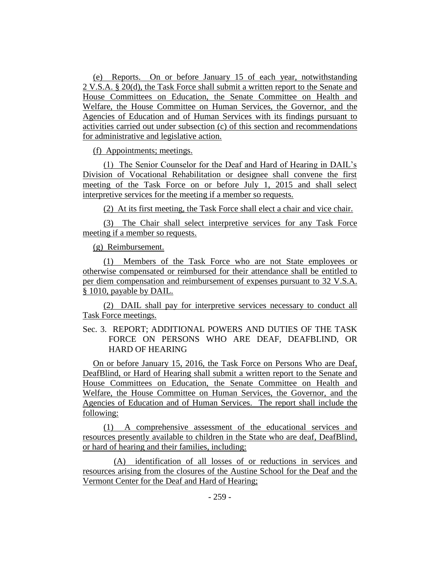(e) Reports. On or before January 15 of each year, notwithstanding 2 V.S.A. § 20(d), the Task Force shall submit a written report to the Senate and House Committees on Education, the Senate Committee on Health and Welfare, the House Committee on Human Services, the Governor, and the Agencies of Education and of Human Services with its findings pursuant to activities carried out under subsection (c) of this section and recommendations for administrative and legislative action.

(f) Appointments; meetings.

(1) The Senior Counselor for the Deaf and Hard of Hearing in DAIL's Division of Vocational Rehabilitation or designee shall convene the first meeting of the Task Force on or before July 1, 2015 and shall select interpretive services for the meeting if a member so requests.

(2) At its first meeting, the Task Force shall elect a chair and vice chair.

(3) The Chair shall select interpretive services for any Task Force meeting if a member so requests.

(g) Reimbursement.

(1) Members of the Task Force who are not State employees or otherwise compensated or reimbursed for their attendance shall be entitled to per diem compensation and reimbursement of expenses pursuant to 32 V.S.A. § 1010, payable by DAIL.

(2) DAIL shall pay for interpretive services necessary to conduct all Task Force meetings.

Sec. 3. REPORT; ADDITIONAL POWERS AND DUTIES OF THE TASK FORCE ON PERSONS WHO ARE DEAF, DEAFBLIND, OR HARD OF HEARING

On or before January 15, 2016, the Task Force on Persons Who are Deaf, DeafBlind, or Hard of Hearing shall submit a written report to the Senate and House Committees on Education, the Senate Committee on Health and Welfare, the House Committee on Human Services, the Governor, and the Agencies of Education and of Human Services. The report shall include the following:

(1) A comprehensive assessment of the educational services and resources presently available to children in the State who are deaf, DeafBlind, or hard of hearing and their families, including:

(A) identification of all losses of or reductions in services and resources arising from the closures of the Austine School for the Deaf and the Vermont Center for the Deaf and Hard of Hearing;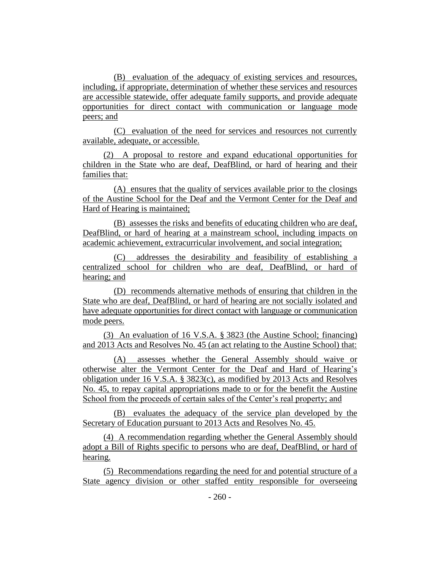(B) evaluation of the adequacy of existing services and resources, including, if appropriate, determination of whether these services and resources are accessible statewide, offer adequate family supports, and provide adequate opportunities for direct contact with communication or language mode peers; and

(C) evaluation of the need for services and resources not currently available, adequate, or accessible.

(2) A proposal to restore and expand educational opportunities for children in the State who are deaf, DeafBlind, or hard of hearing and their families that:

(A) ensures that the quality of services available prior to the closings of the Austine School for the Deaf and the Vermont Center for the Deaf and Hard of Hearing is maintained;

(B) assesses the risks and benefits of educating children who are deaf, DeafBlind, or hard of hearing at a mainstream school, including impacts on academic achievement, extracurricular involvement, and social integration;

(C) addresses the desirability and feasibility of establishing a centralized school for children who are deaf, DeafBlind, or hard of hearing; and

(D) recommends alternative methods of ensuring that children in the State who are deaf, DeafBlind, or hard of hearing are not socially isolated and have adequate opportunities for direct contact with language or communication mode peers.

(3) An evaluation of 16 V.S.A. § 3823 (the Austine School; financing) and 2013 Acts and Resolves No. 45 (an act relating to the Austine School) that:

(A) assesses whether the General Assembly should waive or otherwise alter the Vermont Center for the Deaf and Hard of Hearing's obligation under 16 V.S.A. § 3823(c), as modified by 2013 Acts and Resolves No. 45, to repay capital appropriations made to or for the benefit the Austine School from the proceeds of certain sales of the Center's real property; and

(B) evaluates the adequacy of the service plan developed by the Secretary of Education pursuant to 2013 Acts and Resolves No. 45.

(4) A recommendation regarding whether the General Assembly should adopt a Bill of Rights specific to persons who are deaf, DeafBlind, or hard of hearing.

(5) Recommendations regarding the need for and potential structure of a State agency division or other staffed entity responsible for overseeing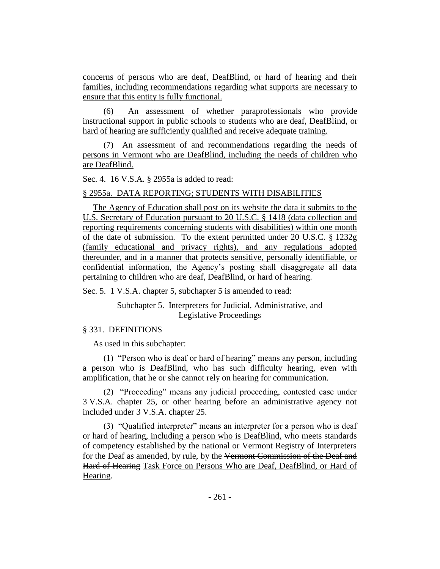concerns of persons who are deaf, DeafBlind, or hard of hearing and their families, including recommendations regarding what supports are necessary to ensure that this entity is fully functional.

(6) An assessment of whether paraprofessionals who provide instructional support in public schools to students who are deaf, DeafBlind, or hard of hearing are sufficiently qualified and receive adequate training.

(7) An assessment of and recommendations regarding the needs of persons in Vermont who are DeafBlind, including the needs of children who are DeafBlind.

Sec. 4. 16 V.S.A. § 2955a is added to read:

# § 2955a. DATA REPORTING; STUDENTS WITH DISABILITIES

The Agency of Education shall post on its website the data it submits to the U.S. Secretary of Education pursuant to 20 U.S.C. § 1418 (data collection and reporting requirements concerning students with disabilities) within one month of the date of submission. To the extent permitted under 20 U.S.C. § 1232g (family educational and privacy rights), and any regulations adopted thereunder, and in a manner that protects sensitive, personally identifiable, or confidential information, the Agency's posting shall disaggregate all data pertaining to children who are deaf, DeafBlind, or hard of hearing.

Sec. 5. 1 V.S.A. chapter 5, subchapter 5 is amended to read:

Subchapter 5. Interpreters for Judicial, Administrative, and Legislative Proceedings

# § 331. DEFINITIONS

As used in this subchapter:

(1) "Person who is deaf or hard of hearing" means any person, including a person who is DeafBlind, who has such difficulty hearing, even with amplification, that he or she cannot rely on hearing for communication.

(2) "Proceeding" means any judicial proceeding, contested case under 3 V.S.A. chapter 25, or other hearing before an administrative agency not included under 3 V.S.A. chapter 25.

(3) "Qualified interpreter" means an interpreter for a person who is deaf or hard of hearing, including a person who is DeafBlind, who meets standards of competency established by the national or Vermont Registry of Interpreters for the Deaf as amended, by rule, by the Vermont Commission of the Deaf and Hard of Hearing Task Force on Persons Who are Deaf, DeafBlind, or Hard of Hearing.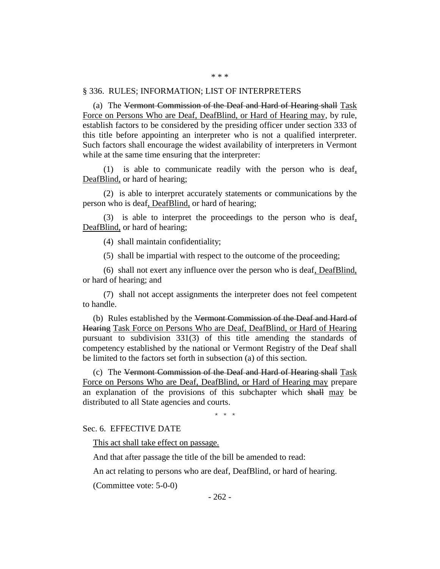#### § 336. RULES; INFORMATION; LIST OF INTERPRETERS

(a) The Vermont Commission of the Deaf and Hard of Hearing shall Task Force on Persons Who are Deaf, DeafBlind, or Hard of Hearing may, by rule, establish factors to be considered by the presiding officer under section 333 of this title before appointing an interpreter who is not a qualified interpreter. Such factors shall encourage the widest availability of interpreters in Vermont while at the same time ensuring that the interpreter:

(1) is able to communicate readily with the person who is deaf, DeafBlind, or hard of hearing;

(2) is able to interpret accurately statements or communications by the person who is deaf, DeafBlind, or hard of hearing;

(3) is able to interpret the proceedings to the person who is deaf, DeafBlind, or hard of hearing;

(4) shall maintain confidentiality;

(5) shall be impartial with respect to the outcome of the proceeding;

(6) shall not exert any influence over the person who is deaf, DeafBlind, or hard of hearing; and

(7) shall not accept assignments the interpreter does not feel competent to handle.

(b) Rules established by the Vermont Commission of the Deaf and Hard of Hearing Task Force on Persons Who are Deaf, DeafBlind, or Hard of Hearing pursuant to subdivision 331(3) of this title amending the standards of competency established by the national or Vermont Registry of the Deaf shall be limited to the factors set forth in subsection (a) of this section.

(c) The Vermont Commission of the Deaf and Hard of Hearing shall Task Force on Persons Who are Deaf, DeafBlind, or Hard of Hearing may prepare an explanation of the provisions of this subchapter which shall may be distributed to all State agencies and courts.

\* \* \*

Sec. 6. EFFECTIVE DATE

This act shall take effect on passage.

And that after passage the title of the bill be amended to read:

An act relating to persons who are deaf, DeafBlind, or hard of hearing.

(Committee vote: 5-0-0)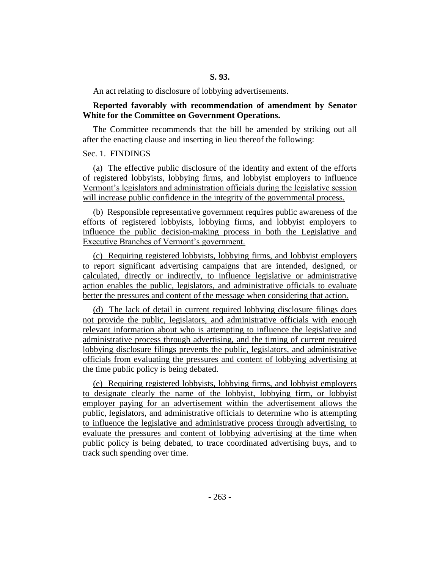An act relating to disclosure of lobbying advertisements.

### **Reported favorably with recommendation of amendment by Senator White for the Committee on Government Operations.**

The Committee recommends that the bill be amended by striking out all after the enacting clause and inserting in lieu thereof the following:

#### Sec. 1. FINDINGS

(a) The effective public disclosure of the identity and extent of the efforts of registered lobbyists, lobbying firms, and lobbyist employers to influence Vermont's legislators and administration officials during the legislative session will increase public confidence in the integrity of the governmental process.

(b) Responsible representative government requires public awareness of the efforts of registered lobbyists, lobbying firms, and lobbyist employers to influence the public decision-making process in both the Legislative and Executive Branches of Vermont's government.

(c) Requiring registered lobbyists, lobbying firms, and lobbyist employers to report significant advertising campaigns that are intended, designed, or calculated, directly or indirectly, to influence legislative or administrative action enables the public, legislators, and administrative officials to evaluate better the pressures and content of the message when considering that action.

(d) The lack of detail in current required lobbying disclosure filings does not provide the public, legislators, and administrative officials with enough relevant information about who is attempting to influence the legislative and administrative process through advertising, and the timing of current required lobbying disclosure filings prevents the public, legislators, and administrative officials from evaluating the pressures and content of lobbying advertising at the time public policy is being debated.

(e) Requiring registered lobbyists, lobbying firms, and lobbyist employers to designate clearly the name of the lobbyist, lobbying firm, or lobbyist employer paying for an advertisement within the advertisement allows the public, legislators, and administrative officials to determine who is attempting to influence the legislative and administrative process through advertising, to evaluate the pressures and content of lobbying advertising at the time when public policy is being debated, to trace coordinated advertising buys, and to track such spending over time.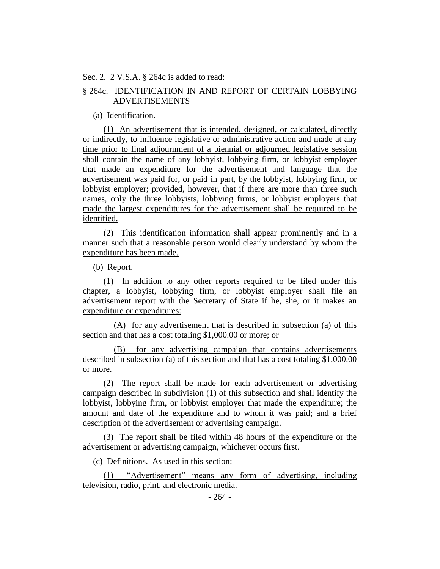Sec. 2. 2 V.S.A. § 264c is added to read:

# § 264c. IDENTIFICATION IN AND REPORT OF CERTAIN LOBBYING ADVERTISEMENTS

(a) Identification.

(1) An advertisement that is intended, designed, or calculated, directly or indirectly, to influence legislative or administrative action and made at any time prior to final adjournment of a biennial or adjourned legislative session shall contain the name of any lobbyist, lobbying firm, or lobbyist employer that made an expenditure for the advertisement and language that the advertisement was paid for, or paid in part, by the lobbyist, lobbying firm, or lobbyist employer; provided, however, that if there are more than three such names, only the three lobbyists, lobbying firms, or lobbyist employers that made the largest expenditures for the advertisement shall be required to be identified.

(2) This identification information shall appear prominently and in a manner such that a reasonable person would clearly understand by whom the expenditure has been made.

(b) Report.

(1) In addition to any other reports required to be filed under this chapter, a lobbyist, lobbying firm, or lobbyist employer shall file an advertisement report with the Secretary of State if he, she, or it makes an expenditure or expenditures:

(A) for any advertisement that is described in subsection (a) of this section and that has a cost totaling \$1,000.00 or more; or

(B) for any advertising campaign that contains advertisements described in subsection (a) of this section and that has a cost totaling \$1,000.00 or more.

(2) The report shall be made for each advertisement or advertising campaign described in subdivision (1) of this subsection and shall identify the lobbyist, lobbying firm, or lobbyist employer that made the expenditure; the amount and date of the expenditure and to whom it was paid; and a brief description of the advertisement or advertising campaign.

(3) The report shall be filed within 48 hours of the expenditure or the advertisement or advertising campaign, whichever occurs first.

(c) Definitions. As used in this section:

(1) "Advertisement" means any form of advertising, including television, radio, print, and electronic media.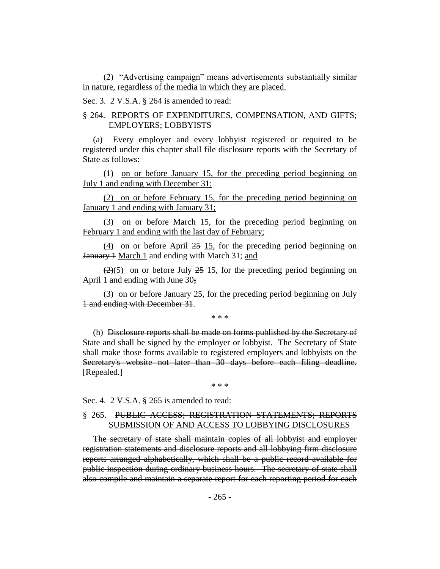(2) "Advertising campaign" means advertisements substantially similar in nature, regardless of the media in which they are placed.

Sec. 3. 2 V.S.A. § 264 is amended to read:

# § 264. REPORTS OF EXPENDITURES, COMPENSATION, AND GIFTS; EMPLOYERS; LOBBYISTS

(a) Every employer and every lobbyist registered or required to be registered under this chapter shall file disclosure reports with the Secretary of State as follows:

(1) on or before January 15, for the preceding period beginning on July 1 and ending with December 31;

(2) on or before February 15, for the preceding period beginning on January 1 and ending with January 31;

(3) on or before March 15, for the preceding period beginning on February 1 and ending with the last day of February;

 $(4)$  on or before April 25 15, for the preceding period beginning on **January 4 March 1 and ending with March 31; and** 

 $\left(\frac{2}{2}\right)$  on or before July  $\frac{25}{25}$  15, for the preceding period beginning on April 1 and ending with June 30;

(3) on or before January 25, for the preceding period beginning on July 1 and ending with December 31.

\* \* \*

(h) Disclosure reports shall be made on forms published by the Secretary of State and shall be signed by the employer or lobbyist. The Secretary of State shall make those forms available to registered employers and lobbyists on the Secretary's website not later than 30 days before each filing deadline. [Repealed.]

\* \* \*

Sec. 4. 2 V.S.A. § 265 is amended to read:

# § 265. PUBLIC ACCESS; REGISTRATION STATEMENTS; REPORTS SUBMISSION OF AND ACCESS TO LOBBYING DISCLOSURES

The secretary of state shall maintain copies of all lobbyist and employer registration statements and disclosure reports and all lobbying firm disclosure reports arranged alphabetically, which shall be a public record available for public inspection during ordinary business hours. The secretary of state shall also compile and maintain a separate report for each reporting period for each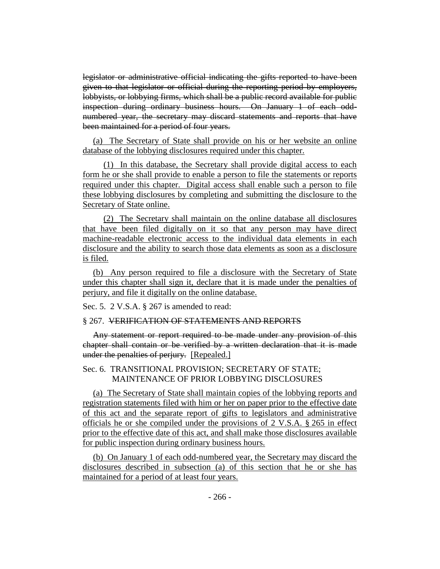legislator or administrative official indicating the gifts reported to have been given to that legislator or official during the reporting period by employers, lobbyists, or lobbying firms, which shall be a public record available for public inspection during ordinary business hours. On January 1 of each oddnumbered year, the secretary may discard statements and reports that have been maintained for a period of four years.

(a) The Secretary of State shall provide on his or her website an online database of the lobbying disclosures required under this chapter.

(1) In this database, the Secretary shall provide digital access to each form he or she shall provide to enable a person to file the statements or reports required under this chapter. Digital access shall enable such a person to file these lobbying disclosures by completing and submitting the disclosure to the Secretary of State online.

(2) The Secretary shall maintain on the online database all disclosures that have been filed digitally on it so that any person may have direct machine-readable electronic access to the individual data elements in each disclosure and the ability to search those data elements as soon as a disclosure is filed.

(b) Any person required to file a disclosure with the Secretary of State under this chapter shall sign it, declare that it is made under the penalties of perjury, and file it digitally on the online database.

Sec. 5. 2 V.S.A. § 267 is amended to read:

#### § 267. VERIFICATION OF STATEMENTS AND REPORTS

Any statement or report required to be made under any provision of this chapter shall contain or be verified by a written declaration that it is made under the penalties of perjury. [Repealed.]

## Sec. 6. TRANSITIONAL PROVISION; SECRETARY OF STATE; MAINTENANCE OF PRIOR LOBBYING DISCLOSURES

(a) The Secretary of State shall maintain copies of the lobbying reports and registration statements filed with him or her on paper prior to the effective date of this act and the separate report of gifts to legislators and administrative officials he or she compiled under the provisions of 2 V.S.A. § 265 in effect prior to the effective date of this act, and shall make those disclosures available for public inspection during ordinary business hours.

(b) On January 1 of each odd-numbered year, the Secretary may discard the disclosures described in subsection (a) of this section that he or she has maintained for a period of at least four years.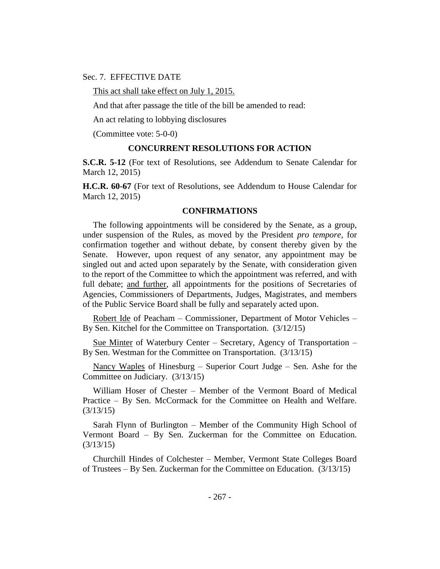#### Sec. 7. EFFECTIVE DATE

This act shall take effect on July 1, 2015.

And that after passage the title of the bill be amended to read:

An act relating to lobbying disclosures

(Committee vote: 5-0-0)

#### **CONCURRENT RESOLUTIONS FOR ACTION**

**S.C.R. 5-12** (For text of Resolutions, see Addendum to Senate Calendar for March 12, 2015)

**H.C.R. 60-67** (For text of Resolutions, see Addendum to House Calendar for March 12, 2015)

#### **CONFIRMATIONS**

The following appointments will be considered by the Senate, as a group, under suspension of the Rules, as moved by the President *pro tempore,* for confirmation together and without debate, by consent thereby given by the Senate. However, upon request of any senator, any appointment may be singled out and acted upon separately by the Senate, with consideration given to the report of the Committee to which the appointment was referred, and with full debate; and further, all appointments for the positions of Secretaries of Agencies, Commissioners of Departments, Judges, Magistrates, and members of the Public Service Board shall be fully and separately acted upon.

Robert Ide of Peacham – Commissioner, Department of Motor Vehicles – By Sen. Kitchel for the Committee on Transportation. (3/12/15)

Sue Minter of Waterbury Center – Secretary, Agency of Transportation – By Sen. Westman for the Committee on Transportation. (3/13/15)

Nancy Waples of Hinesburg – Superior Court Judge – Sen. Ashe for the Committee on Judiciary. (3/13/15)

William Hoser of Chester – Member of the Vermont Board of Medical Practice – By Sen. McCormack for the Committee on Health and Welfare. (3/13/15)

Sarah Flynn of Burlington – Member of the Community High School of Vermont Board – By Sen. Zuckerman for the Committee on Education. (3/13/15)

Churchill Hindes of Colchester – Member, Vermont State Colleges Board of Trustees – By Sen. Zuckerman for the Committee on Education. (3/13/15)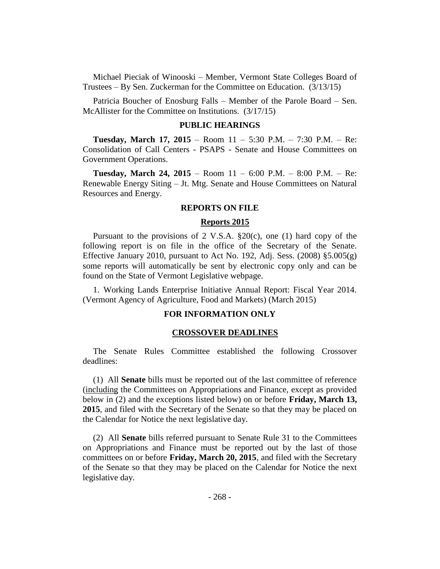Michael Pieciak of Winooski – Member, Vermont State Colleges Board of Trustees – By Sen. Zuckerman for the Committee on Education. (3/13/15)

Patricia Boucher of Enosburg Falls – Member of the Parole Board – Sen. McAllister for the Committee on Institutions. (3/17/15)

#### **PUBLIC HEARINGS**

**Tuesday, March 17, 2015** – Room 11 – 5:30 P.M. – 7:30 P.M. – Re: Consolidation of Call Centers - PSAPS - Senate and House Committees on Government Operations.

**Tuesday, March 24, 2015** – Room 11 – 6:00 P.M. – 8:00 P.M. – Re: Renewable Energy Siting – Jt. Mtg. Senate and House Committees on Natural Resources and Energy.

#### **REPORTS ON FILE**

#### **Reports 2015**

Pursuant to the provisions of 2 V.S.A. §20(c), one (1) hard copy of the following report is on file in the office of the Secretary of the Senate. Effective January 2010, pursuant to Act No. 192, Adj. Sess.  $(2008)$  §5.005 $(g)$ some reports will automatically be sent by electronic copy only and can be found on the State of Vermont Legislative webpage.

1. Working Lands Enterprise Initiative Annual Report: Fiscal Year 2014. (Vermont Agency of Agriculture, Food and Markets) (March 2015)

## **FOR INFORMATION ONLY**

#### **CROSSOVER DEADLINES**

The Senate Rules Committee established the following Crossover deadlines:

(1) All **Senate** bills must be reported out of the last committee of reference (including the Committees on Appropriations and Finance, except as provided below in (2) and the exceptions listed below) on or before **Friday, March 13, 2015**, and filed with the Secretary of the Senate so that they may be placed on the Calendar for Notice the next legislative day.

(2) All **Senate** bills referred pursuant to Senate Rule 31 to the Committees on Appropriations and Finance must be reported out by the last of those committees on or before **Friday, March 20, 2015**, and filed with the Secretary of the Senate so that they may be placed on the Calendar for Notice the next legislative day.